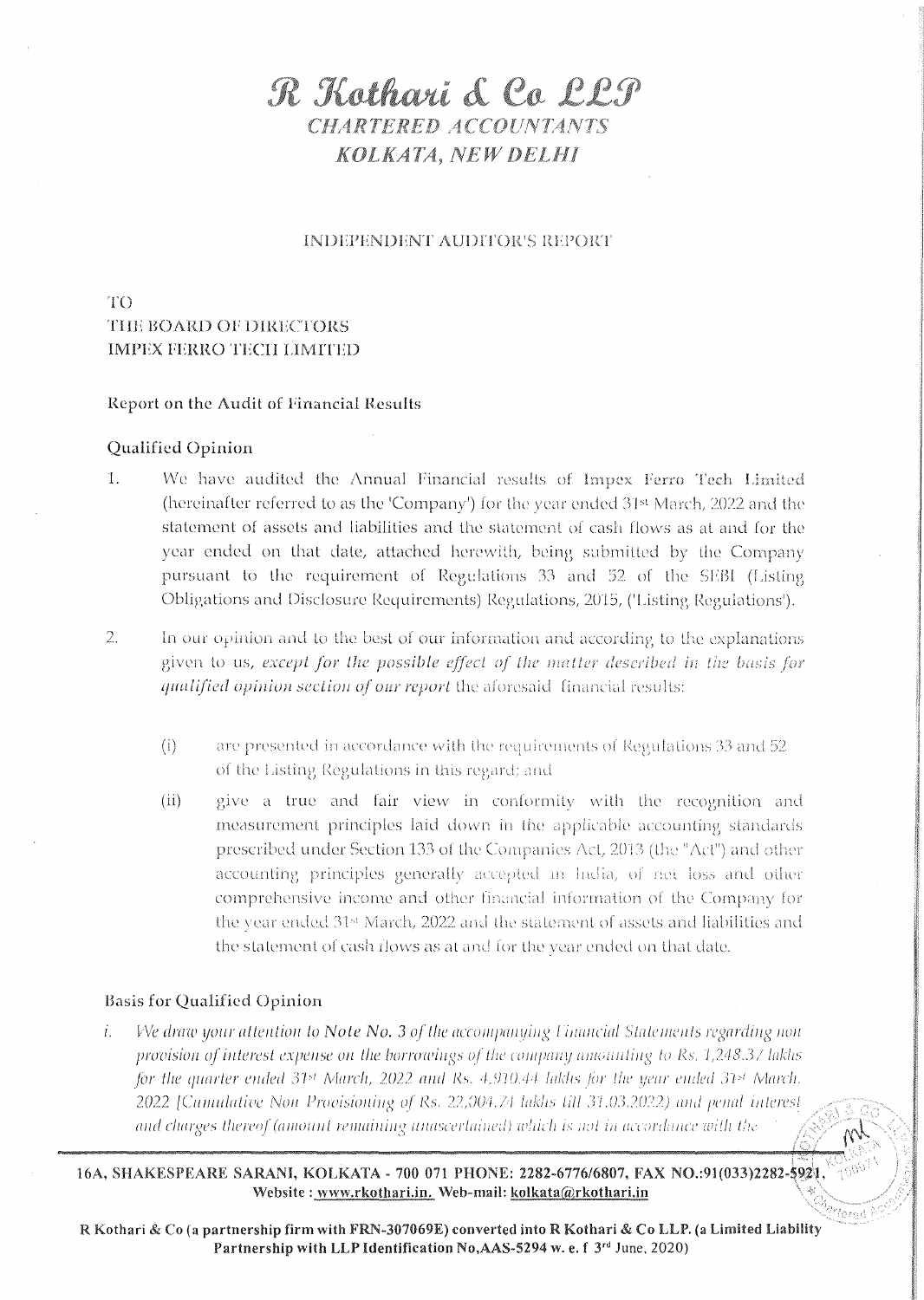# R Kothari & Co LLP CHARTERED ACCOUNTANTS **KOLKATA, NEW DELHI**

## **INDEPENDENT AUDITOR'S REPORT**

# $TC$ THE BOARD OF DIRECTORS **IMPEX FERRO TECH LIMITED**

## Report on the Audit of Financial Results

#### Qualified Opinion

- $\mathbf{1}$ . We have audited the Annual Financial results of Impex Ferro Tech Limited (hereinafter referred to as the 'Company') for the year ended 31<sup>st</sup> March, 2022 and the statement of assets and liabilities and the statement of cash flows as at and for the year ended on that date, attached herewith, being submitted by the Company pursuant to the requirement of Regulations 33 and 52 of the SEBI (Listing Obligations and Disclosure Requirements) Regulations, 2015, ('Listing Regulations').
- $2.$ In our opinion and to the best of our information and according to the explanations given to us, except for the possible effect of the matter described in the basis for qualified opinion section of our report the aforesaid financial results:
	- are presented in accordance with the requirements of Regulations 33 and 52  $(i)$ of the Listing Regulations in this regard; and
	- $(ii)$ give a true and fair view in conformity with the recognition and measurement principles laid down in the applicable accounting standards prescribed under Section 133 of the Companies Act, 2013 (the "Act") and other accounting principles generally accepted in India, of net loss and other comprehensive income and other financial information of the Company for the year ended 31<sup>st</sup> March, 2022 and the statement of assets and liabilities and the statement of cash flows as at and for the year ended on that date.

## **Basis for Qualified Opinion**

We draw your attention to Note No. 3 of the accompanying Financial Statements regarding non i. provision of interest expense on the borrowings of the company amounting to Rs. 1,248.37 lakhs for the quarter ended 31st March, 2022 and Rs. 4,910.44 lakhs for the year ended 31st March, 2022 [Cumulative Non-Provisioning of Rs. 22,004.74 lakhs till 31.03.2022) and penal interest and charges thereof (amount remaining unascertained) which is not in accordance with the

16A, SHAKESPEARE SARANI, KOLKATA - 700 071 PHONE: 2282-6776/6807, FAX NO.:91(033)2282-5921 Website: www.rkothari.in. Web-mail: kolkata@rkothari.in

R Kothari & Co (a partnership firm with FRN-307069E) converted into R Kothari & Co LLP. (a Limited Liability Partnership with LLP Identification No, AAS-5294 w. e. f 3rd June, 2020)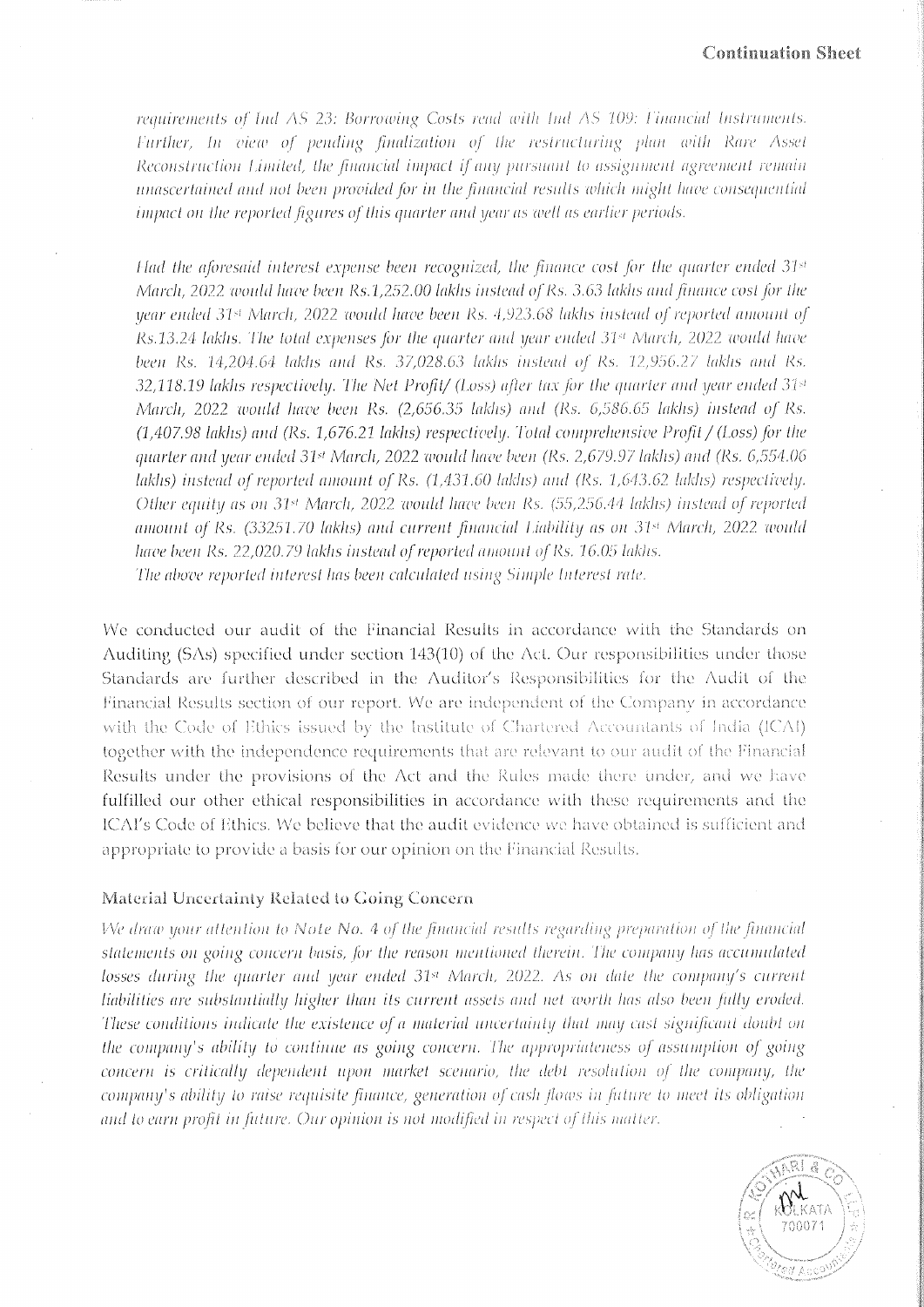requirements of Ind AS 23: Borrowing Costs read with Ind AS 109: Financial Instruments. Further, In view of pending finalization of the restructuring plan with Rare Asset Reconstruction Limited, the financial impact if any pursuant to assignment agreement remain unascertained and not been provided for in the financial results which might have consequential impact on the reported figures of this quarter and year as well as earlier periods.

Had the aforesaid interest expense been recognized, the finance cost for the quarter ended  $31st$ March, 2022 would have been Rs.1,252.00 lakhs instead of Rs. 3.63 lakhs and finance cost for the year ended 31st March, 2022 would have been Rs. 4,923.68 lakhs instead of reported amount of Rs.13.24 lakhs. The total expenses for the quarter and year ended 31st March, 2022 would have been Rs. 14,204.64 lakhs and Rs. 37,028.63 lakhs instead of Rs. 12,956.27 lakhs and Rs. 32,118.19 lakhs respectively. The Net Profit/ (Loss) after tax for the quarter and year ended 31st March, 2022 would have been Rs. (2,656.35 lakhs) and (Rs. 6,586.65 lakhs) instead of Rs. (1,407.98 lakhs) and (Rs. 1,676.21 lakhs) respectively. Total comprehensive Profit / (Loss) for the quarter and year ended 31st March, 2022 would have been (Rs. 2,679.97 lakhs) and (Rs. 6,554.06 laklis) instead of reported amount of Rs. (1,431.60 laklis) and (Rs. 1,643.62 laklis) respectively. Other equity as on 31st March, 2022 would have been Rs. (55,256.44 lakhs) instead of reported amount of Rs. (33251.70 lakhs) and current financial Liability as on 31st March, 2022 would have been Rs. 22,020.79 lakhs instead of reported amount of Rs. 16.05 lakhs. The above reported interest has been calculated using Simple Interest rate.

We conducted our audit of the Financial Results in accordance with the Standards on Auditing (SAs) specified under section 143(10) of the Act. Our responsibilities under those Standards are further described in the Auditor's Responsibilities for the Audit of the Financial Results section of our report. We are independent of the Company in accordance with the Code of Ethics issued by the Institute of Chartered Accountants of India (ICAI) together with the independence requirements that are relevant to our audit of the Financial Results under the provisions of the Act and the Rules made there under, and we have fulfilled our other ethical responsibilities in accordance with these requirements and the ICAI's Code of Ethics. We believe that the audit evidence we have obtained is sufficient and appropriate to provide a basis for our opinion on the Financial Results.

#### Material Uncertainty Related to Going Concern

We draw your attention to Note No. 4 of the financial results regarding preparation of the financial statements on going concern basis, for the reason mentioned therein. The company has accumulated losses during the quarter and year ended 31st March, 2022. As on date the company's current liabilities are substantially higher than its current assets and net worth has also been fully eroded. These conditions indicate the existence of a material uncertainty that may cast significant doubt on the company's ability to continue as going concern. The appropriateness of assumption of going concern is critically dependent upon market scenario, the debt resolution of the company, the company's ability to raise requisite finance, generation of cash flows in future to meet its obligation and to earn profit in future. Our opinion is not modified in respect of this matter.

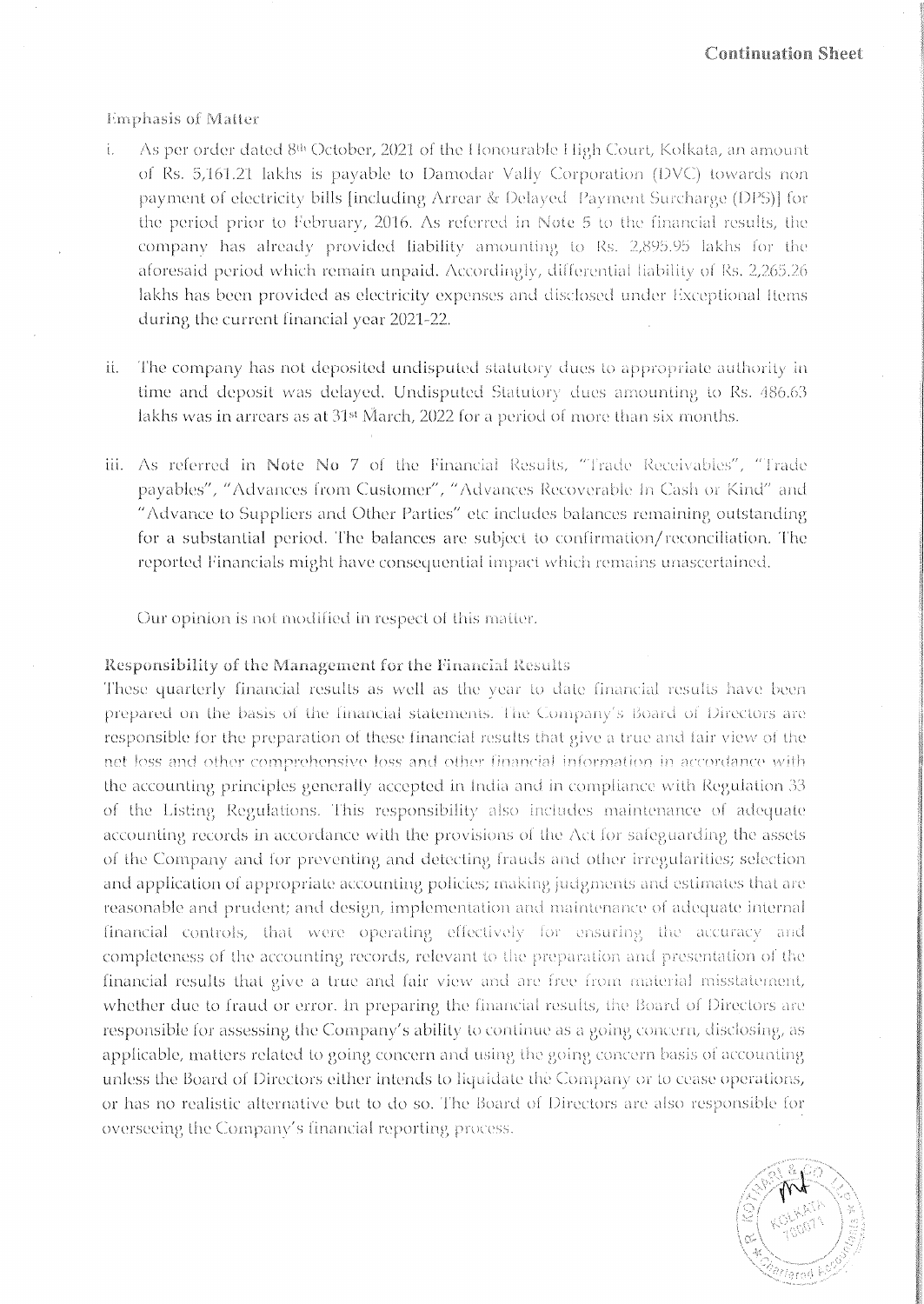#### **Emphasis of Matter**

- As per order dated 8<sup>th</sup> October, 2021 of the Honourable High Court, Kolkata, an amount i. of Rs. 5,161.21 lakhs is payable to Damodar Vally Corporation (DVC) towards non payment of electricity bills [including Arrear & Delayed Payment Surcharge (DPS)] for the period prior to February, 2016. As referred in Note 5 to the financial results, the company has already provided liability amounting to Rs. 2,895.95 lakhs for the aforesaid period which remain unpaid. Accordingly, differential liability of Rs. 2,265.26 lakhs has been provided as electricity expenses and disclosed under Exceptional Items during the current financial year 2021-22.
- $ii.$ The company has not deposited undisputed statutory dues to appropriate authority in time and deposit was delayed. Undisputed Statutory dues amounting to Rs. 486.63 lakhs was in arrears as at 31<sup>st</sup> March, 2022 for a period of more than six months.
- iii. As referred in Note No 7 of the Financial Results, "Trade Receivables", "Trade payables", "Advances from Customer", "Advances Recoverable In Cash or Kind" and "Advance to Suppliers and Other Parties" etc includes balances remaining outstanding for a substantial period. The balances are subject to confirmation/reconciliation. The reported Financials might have consequential impact which remains unascertained.

Our opinion is not modified in respect of this matter.

#### Responsibility of the Management for the Financial Results

These quarterly financial results as well as the year to date financial results have been prepared on the basis of the financial statements. The Company's Board of Directors are responsible for the preparation of these financial results that give a true and fair view of the net loss and other comprehensive loss and other financial information in accordance with the accounting principles generally accepted in India and in compliance with Regulation 33 of the Listing Regulations. This responsibility also includes maintenance of adequate accounting records in accordance with the provisions of the Act for safeguarding the assets of the Company and for preventing and detecting frauds and other irregularities; selection and application of appropriate accounting policies; making judgments and estimates that are reasonable and prudent; and design, implementation and maintenance of adequate internal financial controls, that were operating effectively for ensuring the accuracy and completeness of the accounting records, relevant to the preparation and presentation of the financial results that give a true and fair view and are free from material misstatement, whether due to fraud or error. In preparing the financial results, the Board of Directors are responsible for assessing the Company's ability to continue as a going concern, disclosing, as applicable, matters related to going concern and using the going concern basis of accounting unless the Board of Directors either intends to liquidate the Company or to cease operations, or has no realistic alternative but to do so. The Board of Directors are also responsible for overseeing the Company's financial reporting process.

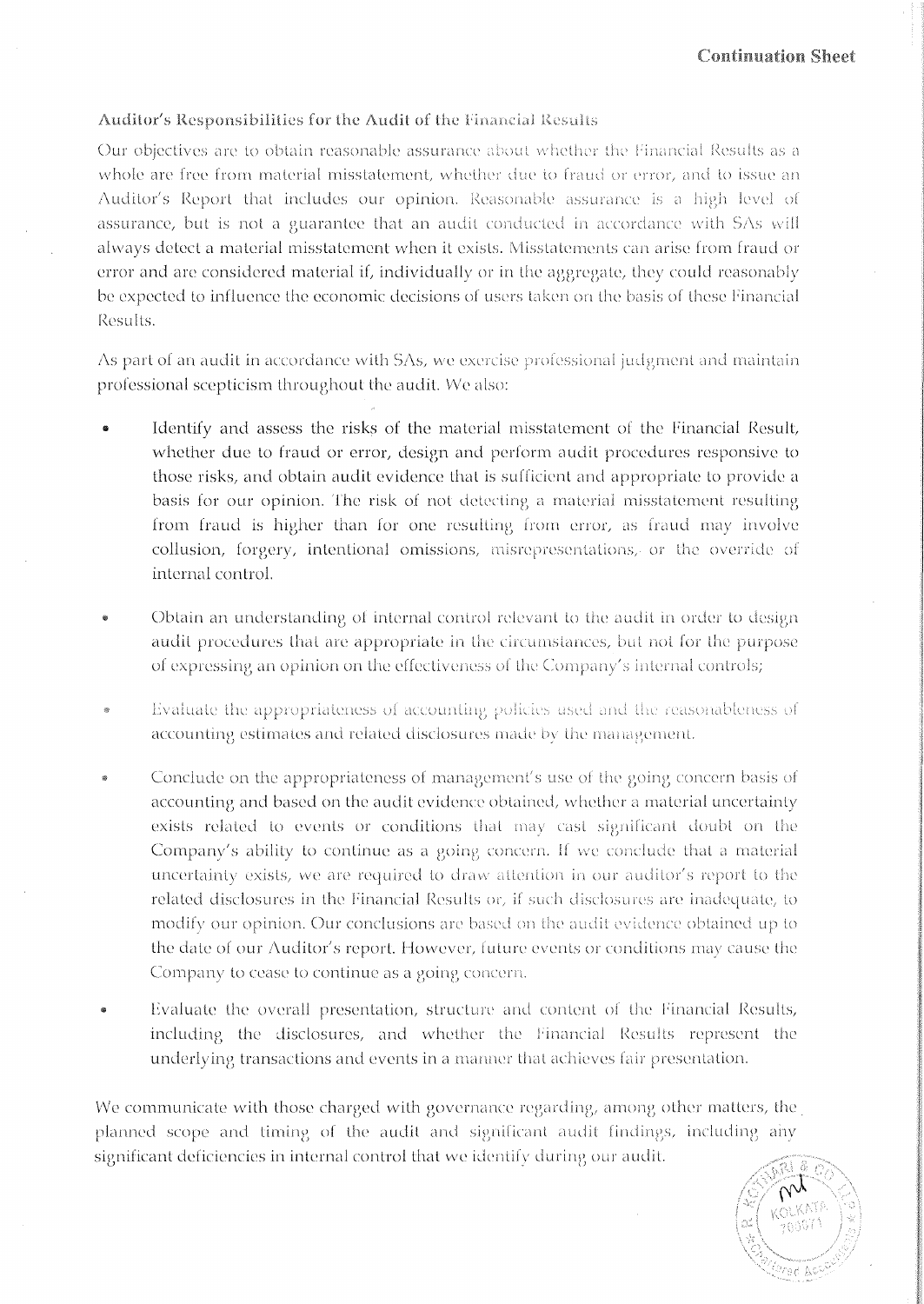## Auditor's Responsibilities for the Audit of the Financial Results

Our objectives are to obtain reasonable assurance about whether the Financial Results as a whole are free from material misstatement, whether due to fraud or error, and to issue an Auditor's Report that includes our opinion. Reasonable assurance is a high level of assurance, but is not a guarantee that an audit conducted in accordance with SAs will always detect a material misstatement when it exists. Misstatements can arise from fraud or error and are considered material if, individually or in the aggregate, they could reasonably be expected to influence the economic decisions of users taken on the basis of these Financial Results.

As part of an audit in accordance with SAs, we exercise professional judgment and maintain professional scepticism throughout the audit. We also:

- Identify and assess the risks of the material misstatement of the Financial Result, whether due to fraud or error, design and perform audit procedures responsive to those risks, and obtain audit evidence that is sufficient and appropriate to provide a basis for our opinion. The risk of not detecting a material misstatement resulting from fraud is higher than for one resulting from error, as fraud may involve collusion, forgery, intentional omissions, misrepresentations, or the override of internal control.
- Obtain an understanding of internal control relevant to the audit in order to design audit procedures that are appropriate in the circumstances, but not for the purpose of expressing an opinion on the effectiveness of the Company's internal controls;
- Evaluate the appropriateness of accounting policies used and the reasonableness of accounting estimates and related disclosures made by the management.
- Conclude on the appropriateness of management's use of the going concern basis of accounting and based on the audit evidence obtained, whether a material uncertainty exists related to events or conditions that may cast significant doubt on the Company's ability to continue as a going concern. If we conclude that a material uncertainty exists, we are required to draw attention in our auditor's report to the related disclosures in the Financial Results or, if such disclosures are inadequate, to modify our opinion. Our conclusions are based on the audit evidence obtained up to the date of our Auditor's report. However, future events or conditions may cause the Company to cease to continue as a going concern.
- Evaluate the overall presentation, structure and content of the Financial Results, including the disclosures, and whether the Financial Results represent the underlying transactions and events in a manner that achieves fair presentation.

We communicate with those charged with governance regarding, among other matters, the planned scope and timing of the audit and significant audit findings, including any significant deficiencies in internal control that we identify during our audit.

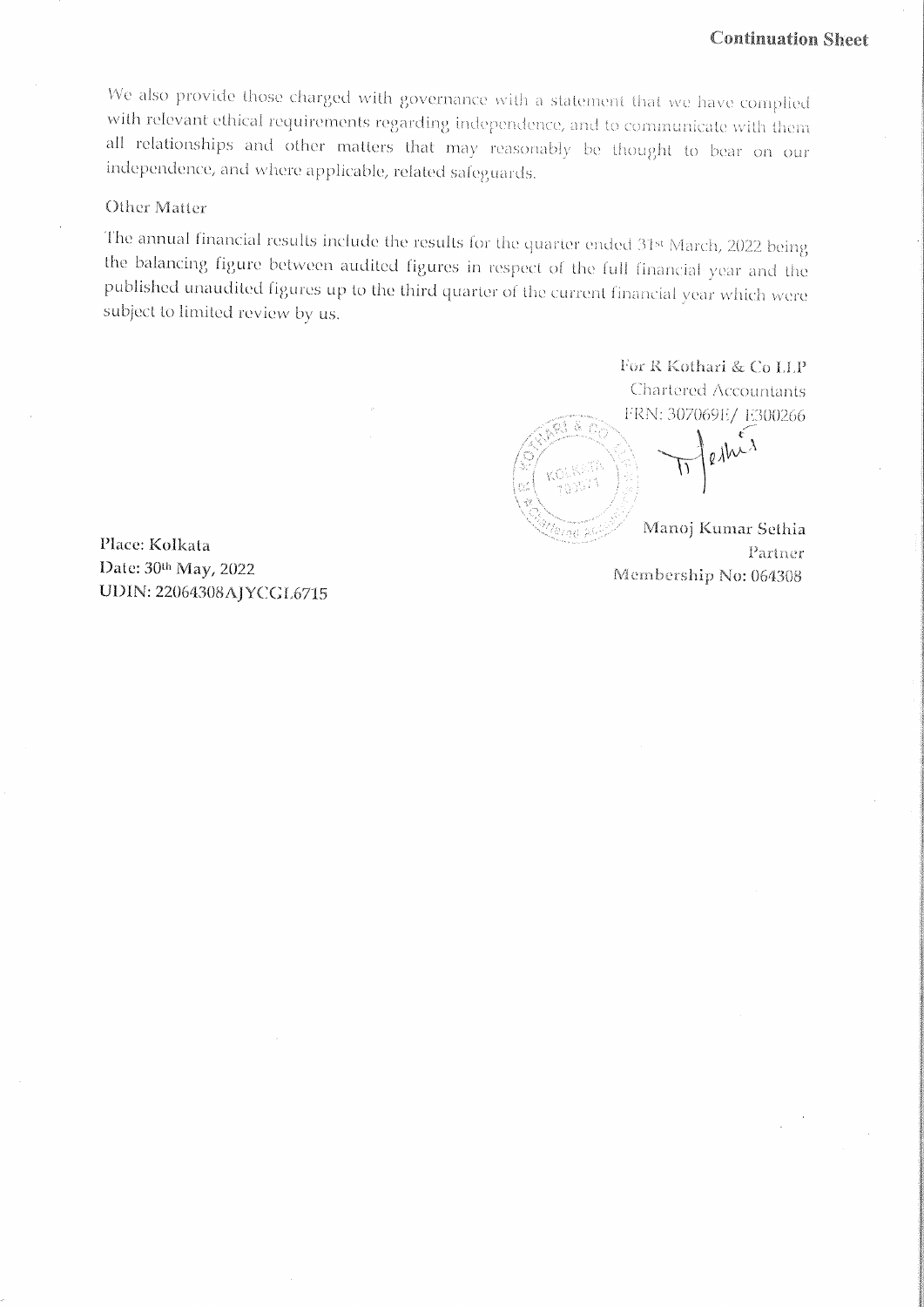We also provide those charged with governance with a statement that we have complied with relevant ethical requirements regarding independence, and to communicate with them all relationships and other matters that may reasonably be thought to bear on our independence, and where applicable, related safeguards.

## Other Matter

The annual financial results include the results for the quarter ended 31st March, 2022 being the balancing figure between audited figures in respect of the full financial year and the published unaudited figures up to the third quarter of the current financial year which were subject to limited review by us.

Place: Kolkata Date: 30th May, 2022 UDIN: 22064308AJYCGL6715 For R Kothari & Co LLP **Chartered Accountants** FRN: 307069E/ E300266  $\n *q*$ hi

Manoj Kumar Sethia Partner Membership No: 064308

ing at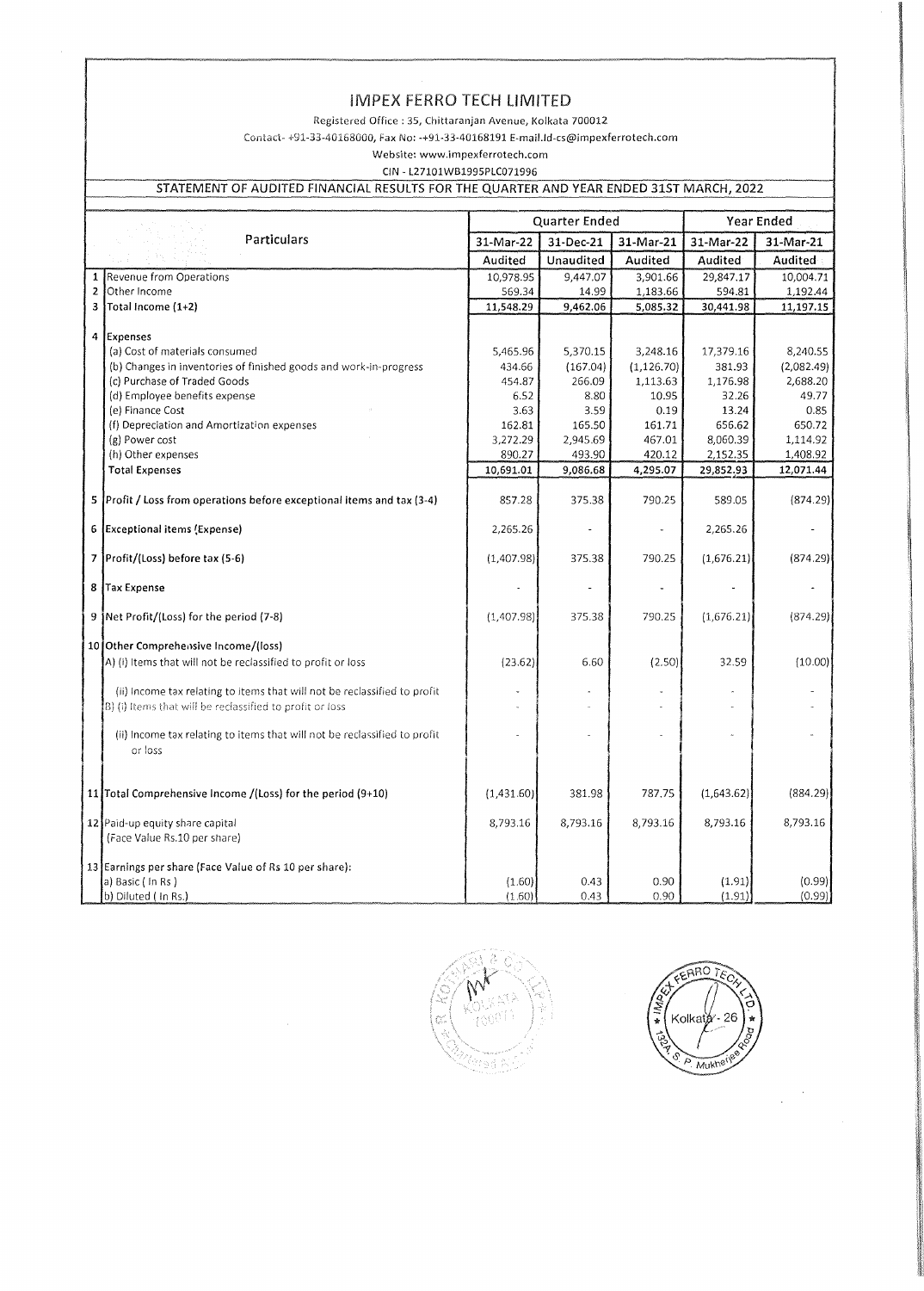## IMPEX FERRO TECH LIMITED

Registered Office : 35, Chittaranjan Avenue, Kolkata 700012

Contact- +91-33-40168000, Fax No: -+91-33-40168191 E-mail.ld-cs@impexferrotech.com

Website: www.impexferrotech.com

#### CIN- l27101 WB1995PlC071996

#### STATEMENT OF AUDITED FINANCIAL RESULTS FOR THE QUARTER AND YEAR ENDED 31ST MARCH, 2022

|                |                                                                                                                                       | Quarter Ended |           |             | Year Ended |            |
|----------------|---------------------------------------------------------------------------------------------------------------------------------------|---------------|-----------|-------------|------------|------------|
|                | Particulars                                                                                                                           | 31-Mar-22     | 31-Dec-21 | 31-Mar-21   | 31-Mar-22  | 31-Mar-21  |
|                |                                                                                                                                       | Audited       | Unaudited | Audited     | Audited    | Audited    |
| 1              | Revenue from Operations                                                                                                               | 10,978.95     | 9,447.07  | 3,901.66    | 29,847.17  | 10,004.71  |
| $\overline{2}$ | Other Income                                                                                                                          |               | 14.99     | 1,183.66    | 594.81     | 1,192.44   |
| 3              | Total Income (1+2)                                                                                                                    | 11,548.29     | 9,462.06  | 5,085.32    | 30,441.98  | 11,197.15  |
|                |                                                                                                                                       |               |           |             |            |            |
|                | 4 Expenses<br>(a) Cost of materials consumed                                                                                          | 5,465.96      | 5,370.15  | 3,248.16    | 17,379.16  | 8,240.55   |
|                | (b) Changes in inventories of finished goods and work-in-progress                                                                     | 434.66        | (167.04)  | (1, 126.70) | 381.93     | (2,082.49) |
|                | (c) Purchase of Traded Goods                                                                                                          | 454.87        | 266.09    | 1,113.63    | 1,176.98   | 2,688.20   |
|                | (d) Employee benefits expense                                                                                                         | 6.52          | 8.80      | 10.95       | 32.26      | 49.77      |
|                | (e) Finance Cost                                                                                                                      | 3.63          | 3.59      | 0.19        | 13.24      | 0.85       |
|                | (f) Depreciation and Amortization expenses                                                                                            | 162.81        | 165.50    | 161.71      | 656.62     | 650.72     |
|                | (g) Power cost                                                                                                                        | 3,272.29      | 2,945.69  | 467.01      | 8,060.39   | 1,114.92   |
|                | (h) Other expenses                                                                                                                    | 890.27        | 493.90    | 420.12      | 2,152.35   | 1,408.92   |
|                | <b>Total Expenses</b>                                                                                                                 | 10,691.01     | 9,086.68  | 4,295.07    | 29,852,93  | 12,071.44  |
| 5              | Profit / Loss from operations before exceptional items and tax (3-4)                                                                  | 857.28        | 375.38    | 790.25      | 589.05     | (874.29)   |
| 6              | <b>Exceptional items (Expense)</b>                                                                                                    | 2,265.26      |           |             | 2,265.26   |            |
|                | 7   Profit/(Loss) before tax (5-6)                                                                                                    | (1,407.98)    | 375.38    | 790.25      | (1,676.21) | (874.29)   |
| 8              | Tax Expense                                                                                                                           |               |           |             |            |            |
| 9              | Net Profit/(Loss) for the period (7-8)                                                                                                | (1,407.98)    | 375.38    | 790.25      | (1,676.21) | (874.29)   |
|                | 10 Other Comprehensive Income/(loss)                                                                                                  |               |           |             |            |            |
|                | A) (i) Items that will not be reclassified to profit or loss                                                                          | (23.62)       | 6.60      | (2.50)      | 32.59      | (10.00)    |
|                | (ii) Income tax relating to items that will not be reclassified to profit<br>B) (i) Items that will be reclassified to profit or loss |               |           |             |            |            |
|                | (ii) Income tax relating to items that will not be reclassified to profit<br>or loss                                                  |               |           |             |            |            |
|                | 11 Total Comprehensive Income / (Loss) for the period (9+10)                                                                          | (1,431.60)    | 381.98    | 787.75      | (1,643.62) | (884.29)   |
|                | 12 Paid-up equity share capital<br>(Face Value Rs.10 per share)                                                                       | 8,793.16      | 8,793.16  | 8,793.16    | 8,793.16   | 8,793.16   |
|                | 13 Earnings per share (Face Value of Rs 10 per share):<br>a) Basic ( In Rs )                                                          | (1.60)        | 0.43      | 0.90        | (1.91)     | (0.99)     |
|                | b) Diluted (In Rs.)                                                                                                                   | (1.60)        | 0.43      | 0.90        | (1.91)     | (0.99)     |



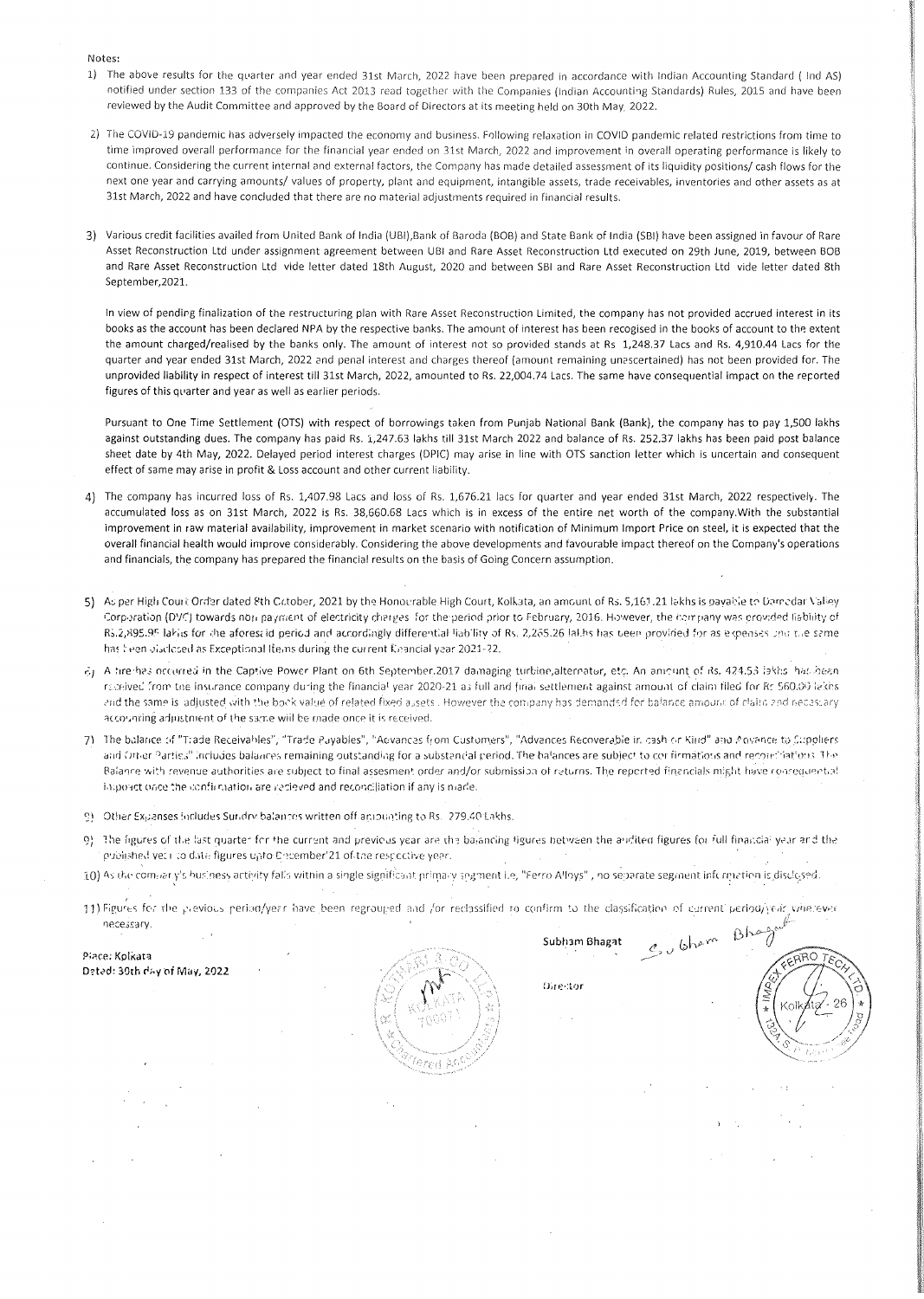#### Notes:

Piace: Kolkata

Deted: 30th day of May, 2022

- 1) The above results for the quarter and year ended 31st March, 2022 have been prepared in accordance with Indian Accounting Standard ( Ind AS) notified under section 133 of the companies Act 2013 read together with the Companies (Indian Accounting Standards) Rules, 2015 and have been reviewed by the Audit Committee and approved by the Board of Directors at its meeting held on 30th May\_ 2022.
- 2) The COVID-19 pandemic has adversely impacted the economy and business. Following relaxation in COVID pandemic related restrictions from time to time improved overall performance for the financial year ended on 31st March, 2022 and improvement in overall operating performance is likely to continue. Considering the current internal and external factors, the Company has made detailed assessment of its liquidity positions/ cash flows for the next one year and carrying amounts/ values of property, plant and equipment, intangible assets, trade receivables, inventories and other assets as at 31st March, 2022 and have concluded that there are no material adjustments required in financial results.
- 3) Various credit facilities availed from United Bank of India (UBI),Bank of Baroda (BOB) and State Bank of India (SBI) have been assigned in favour of Rare Asset Reconstruction Ltd under assignment agreement between UBI and Rare Asset Reconstruction Ltd executed on 29th June, 2019, between BOB and Rare Asset Reconstruction Ltd vide letter dated 18th August, 2020 and between SBI and Rare Asset Reconstruction Ltd vide letter dated 8th September,2021.

In view of pendirg finalization of the restructuring plan with Rare Asset Reconstruction Limited, the company has not provided accrued interest in its books as the account has been declared NPA by the respective banks. The amount of interest has been recogised in the books of account to the extent the amount charged/realised by the banks only. The amount of interest not so provided stands at Rs 1,248.37 Lacs and Rs. 4,910.44 Lacs for the quarter and year ended 31st March, 2022 and penal interest and charges thereof (amount remaining unascertained) has not been provided for. The unprovided liability in respect of interest till 31st March, 2022, amounted to Rs. 22,004.74 Lacs. The same have consequential impact on the reported figures of this quarter and year as well as earlier periods.

Pursuant to One Time Settlement (OTS) with respect of borrowings taken from Punjab National Bank (Bank), the company has to pay 1,500 lakhs against outstanding dues. The company has paid Rs. 1,247.63 lakhs till 31st March 2022 and balance of Rs. 252.37 lakhs has been paid post balance sheet date by 4th May, 2022. Delayed period interest charges (DPIC) may arise in line with OTS sanction letter which is uncertain and consequent effect of same may arise in profit & Loss account and other current liability.

- 4) The company has incurred loss of Rs. 1,407.98 Lacs and loss of Rs. 1,676.21 lacs for quarter and year ended 31st March, 2022 respectively. The accumulated loss as on 31st March, 2022 is Rs. 38,660.68 Lacs which is in excess of the entire net worth of the company. With the substantial improvement in raw material availability, improvement in market scenario with notification of Minimum Import Price on steel, it is expected that the overall financial health would improve considerably. Considering the above developments and favourable impact thereof on the Company's operations and financials, the company has prepared the financial results on the basis of Going Concern assumption.
- 5) As per High Couri: Ord'er dated 8th Catober, 2021 by the Honourable High Court, Kolkata, an amount of Rs. 5,161.21 lakhs is payable to Damedar Valley Corporation (DVC) towards non-payment of electricity charges for the period prior to February, 2016. However, the nompany was provided liability of R\$.2,895.95 lakiis for the aforest id period and accordingly differential liability of Rs. 2,265.26 lal.hs has been provided for as expenses and the same has *been disclosed as Exceptional Items during the current Keancial year 2021-72.*
- $\zeta_1$ . A tire-has occurred in the Captive Power Plant on 6th September.2017 damaging turbine,alternator, etc. An amount of Rs, 424.53 jakhs has been rcaeived from the insurance company during the financial year 2020-21 as full and final settlement against amount of claim filed for Rr 560.09 lekiss and the same is adjusted with the book value of related fixed assets . However the company has demanded for balance amount of claim and necastary accounting adjustment of the same will be made once it is received.
- 7) The balance of "Trade Receivables", "Trade Payables", "Advances from Customers", "Advances Recoverable in cash or Kind" and Anyance to Suppliers and Other Partics" includes balances remaining outstanding for a substancial period. The balances are subject to confirmations and reconditations. The Balance with revenue authorities are subject to final assesment order and/or submission of returns. The reported financials might have conrequential **i.l.ptHr:t t111r:e** :he~:,:n~il r,ldtior~ **ore 1\:'':i!?VPd and re(or1c:liation if any is n1ar!e.**
- S) Other Expenses includes Sur.dry balances written off announting to Rs. 279.40 Lakhs.
- 9) The figures of the last quarter for the current and previous year are the balancing figures between the audited figures for full financial year and the published vect to date figures unto Cecember'21 of the respective year.
- 10) As the company's business activity falls within a single significant primary segment i.e. "Ferro Alloys", no separate segment information is disclosed
- 11) Figures for the previous period/year have been regrouped and /or reclassified to confirm to the classification of current period/year vine/ever necessary.

[Pred Af

Subham Bhagat *(bharn*)

Oirentor

ERRO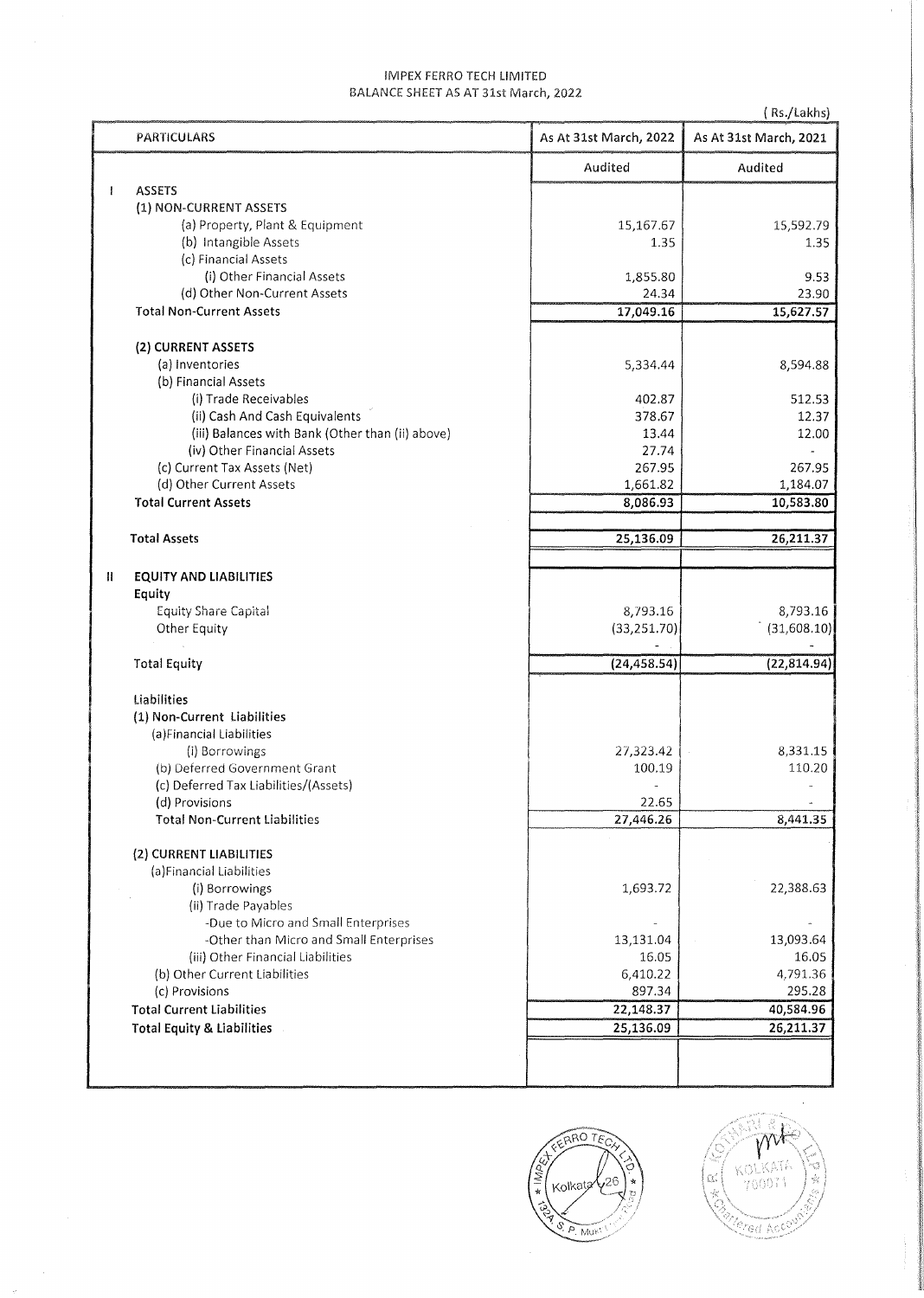#### IMPEX FERRO TECH LIMITED BALANCE SHEET AS AT 31st March, 2022

( Rs./Lakhs)

|              | <b>PARTICULARS</b>                               | As At 31st March, 2022 | As At 31st March, 2021 |
|--------------|--------------------------------------------------|------------------------|------------------------|
|              |                                                  | Audited                | Audited                |
| I            | <b>ASSETS</b>                                    |                        |                        |
|              | (1) NON-CURRENT ASSETS                           |                        |                        |
|              | (a) Property, Plant & Equipment                  | 15,167.67              | 15,592.79              |
|              | (b) Intangible Assets                            | 1.35                   | 1.35                   |
|              | (c) Financial Assets                             |                        |                        |
|              | (i) Other Financial Assets                       | 1,855.80               | 9.53                   |
|              | (d) Other Non-Current Assets                     | 24.34                  | 23.90                  |
|              | <b>Total Non-Current Assets</b>                  | 17,049.16              | 15,627.57              |
|              | (2) CURRENT ASSETS                               |                        |                        |
|              | (a) Inventories                                  | 5,334.44               | 8,594.88               |
|              | (b) Financial Assets                             |                        |                        |
|              | (i) Trade Receivables                            | 402.87                 | 512.53                 |
|              | (ii) Cash And Cash Equivalents                   | 378.67                 | 12.37                  |
|              | (iii) Balances with Bank (Other than (ii) above) | 13.44                  | 12.00                  |
|              | (iv) Other Financial Assets                      | 27.74                  |                        |
|              | (c) Current Tax Assets (Net)                     | 267.95                 | 267.95                 |
|              | (d) Other Current Assets                         | 1,661.82               | 1,184.07               |
|              | <b>Total Current Assets</b>                      | 8,086.93               | 10,583.80              |
|              |                                                  |                        |                        |
|              | <b>Total Assets</b>                              | 25,136.09              | 26,211.37              |
| $\mathbf{I}$ | <b>EQUITY AND LIABILITIES</b>                    |                        |                        |
|              | Equity                                           |                        |                        |
|              | <b>Equity Share Capital</b>                      | 8,793.16               | 8,793.16               |
|              | Other Equity                                     | (33, 251.70)           | (31, 608.10)           |
|              |                                                  |                        |                        |
|              | <b>Total Equity</b>                              | (24, 458.54)           | (22,814.94)            |
|              | Liabilities                                      |                        |                        |
|              | (1) Non-Current Liabilities                      |                        |                        |
|              | (a)Financial Liabilities                         |                        |                        |
|              | (i) Borrowings                                   | 27,323.42              | 8,331.15               |
|              | (b) Deferred Government Grant                    | 100.19                 | 110.20                 |
|              | (c) Deferred Tax Liabilities/(Assets)            |                        |                        |
|              | (d) Provisions                                   | 22.65                  |                        |
|              | <b>Total Non-Current Liabilities</b>             | 27,446.26              | 8,441.35               |
|              | (2) CURRENT LIABILITIES                          |                        |                        |
|              | (a)Financial Liabilities                         |                        |                        |
|              | (i) Borrowings                                   | 1,693.72               | 22,388.63              |
|              | (ii) Trade Payables                              |                        |                        |
|              | -Due to Micro and Small Enterprises              |                        |                        |
|              | -Other than Micro and Small Enterprises          | 13,131.04              | 13,093.64              |
|              | (iii) Other Financial Liabilities                | 16.05                  | 16.05                  |
|              | (b) Other Current Liabilities                    | 6,410.22               | 4,791.36               |
|              | (c) Provisions                                   | 897.34                 | 295.28                 |
|              | <b>Total Current Liabilities</b>                 | 22,148.37              | 40,584.96              |
|              | <b>Total Equity &amp; Liabilities</b>            | 25,136.09              | 26,211.37              |
|              |                                                  |                        |                        |
|              |                                                  |                        |                        |

J,



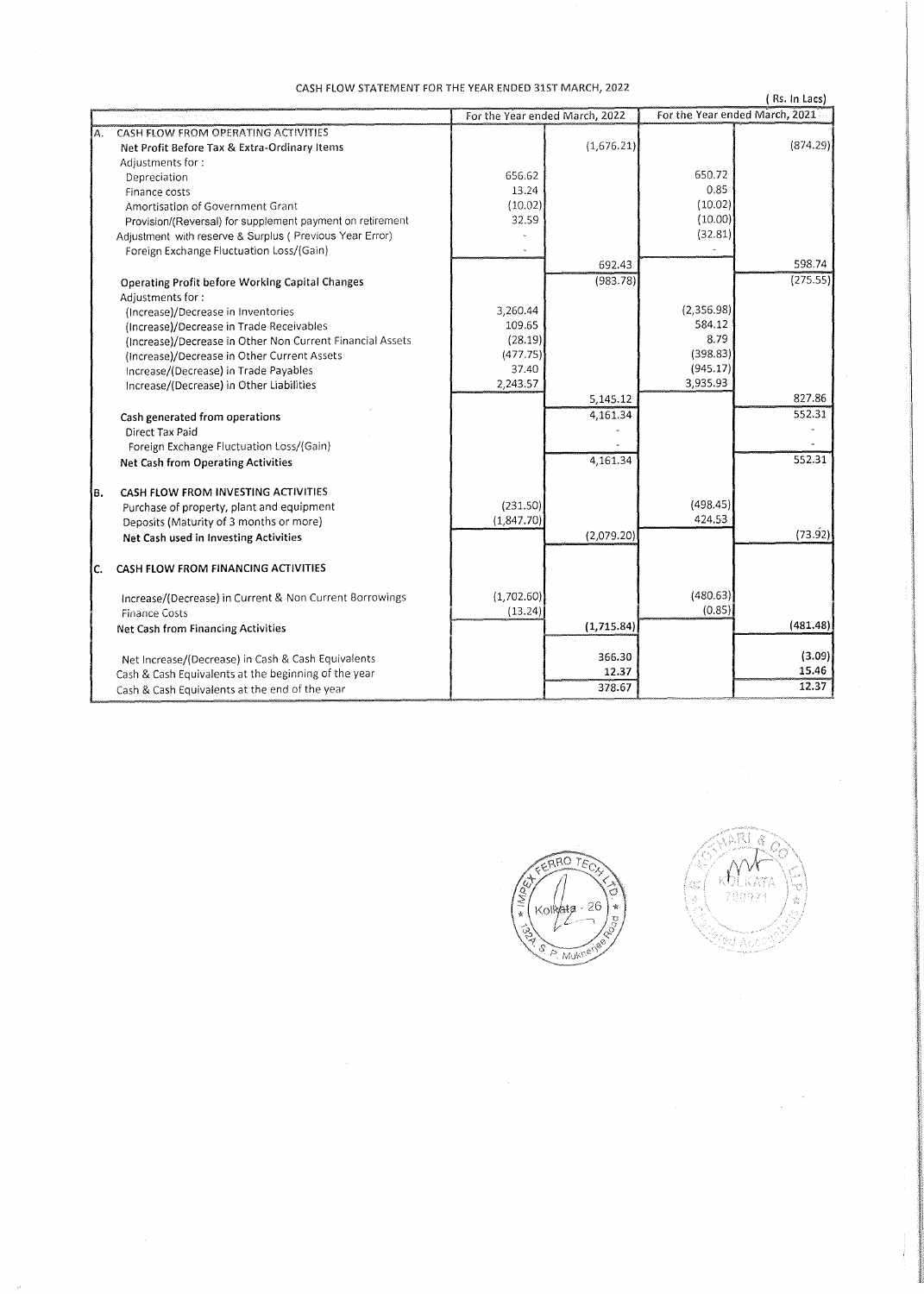#### CASH FLOW STATEMENT FOR THE YEAR ENDED 31ST MARCH, 2022

|     |                                                           |            |                                |            | (Rs. In Lacs)                  |
|-----|-----------------------------------------------------------|------------|--------------------------------|------------|--------------------------------|
|     |                                                           |            | For the Year ended March, 2022 |            | For the Year ended March, 2021 |
| IA. | CASH FLOW FROM OPERATING ACTIVITIES                       |            |                                |            |                                |
|     | Net Profit Before Tax & Extra-Ordinary Items              |            | (1,676.21)                     |            | (874.29)                       |
|     | Adjustments for:                                          |            |                                |            |                                |
|     | Depreciation                                              | 656.62     |                                | 650.72     |                                |
|     | Finance costs                                             | 13.24      |                                | 0.85       |                                |
|     | Amortisation of Government Grant                          | (10.02)    |                                | (10.02)    |                                |
|     | Provision/(Reversal) for supplement payment on retirement | 32.59      |                                | (10.00)    |                                |
|     | Adjustment with reserve & Surplus (Previous Year Error)   |            |                                | (32.81)    |                                |
|     | Foreign Exchange Fluctuation Loss/(Gain)                  |            |                                |            |                                |
|     |                                                           |            | 692.43                         |            | 598.74                         |
|     | Operating Profit before Working Capital Changes           |            | (983.78)                       |            | (275.55)                       |
|     | Adjustments for:                                          |            |                                |            |                                |
|     | (Increase)/Decrease in Inventories                        | 3,260.44   |                                | (2,356.98) |                                |
|     | (Increase)/Decrease in Trade Receivables                  | 109.65     |                                | 584.12     |                                |
|     | (Increase)/Decrease in Other Non Current Financial Assets | (28.19)    |                                | 8.79       |                                |
|     | (Increase)/Decrease in Other Current Assets               | (477.75)   |                                | (398.83)   |                                |
|     | Increase/(Decrease) in Trade Payables                     | 37.40      |                                | (945.17)   |                                |
|     | Increase/(Decrease) in Other Liabilities                  | 2.243.57   |                                | 3,935.93   |                                |
|     |                                                           |            | 5,145.12                       |            | 827.86                         |
|     | Cash generated from operations                            |            | 4,161.34                       |            | 552.31                         |
|     | Direct Tax Paid                                           |            |                                |            |                                |
|     | Foreign Exchange Fluctuation Loss/(Gain)                  |            |                                |            |                                |
|     | <b>Net Cash from Operating Activities</b>                 |            | 4,161.34                       |            | 552.31                         |
| lв. | CASH FLOW FROM INVESTING ACTIVITIES                       |            |                                |            |                                |
|     | Purchase of property, plant and equipment                 | (231.50)   |                                | (498.45)   |                                |
|     | Deposits (Maturity of 3 months or more)                   | (1,847.70) |                                | 424.53     |                                |
|     | Net Cash used in Investing Activities                     |            | (2,079.20)                     |            | (73.92)                        |
| c.  | CASH FLOW FROM FINANCING ACTIVITIES                       |            |                                |            |                                |
|     | Increase/(Decrease) in Current & Non Current Borrowings   | (1,702.60) |                                | (480.63)   |                                |
|     | <b>Finance Costs</b>                                      | (13.24)    |                                | (0.85)     |                                |
|     | <b>Net Cash from Financing Activities</b>                 |            | (1,715.84)                     |            | (481.48)                       |
|     | Net Increase/(Decrease) in Cash & Cash Equivalents        |            | 366.30                         |            | (3.09)                         |
|     | Cash & Cash Equivalents at the beginning of the year      |            | 12.37                          |            | 15.46                          |
|     | Cash & Cash Equivalents at the end of the year            |            | 378.67                         |            | 12.37                          |



 $\bar{\beta}$ 

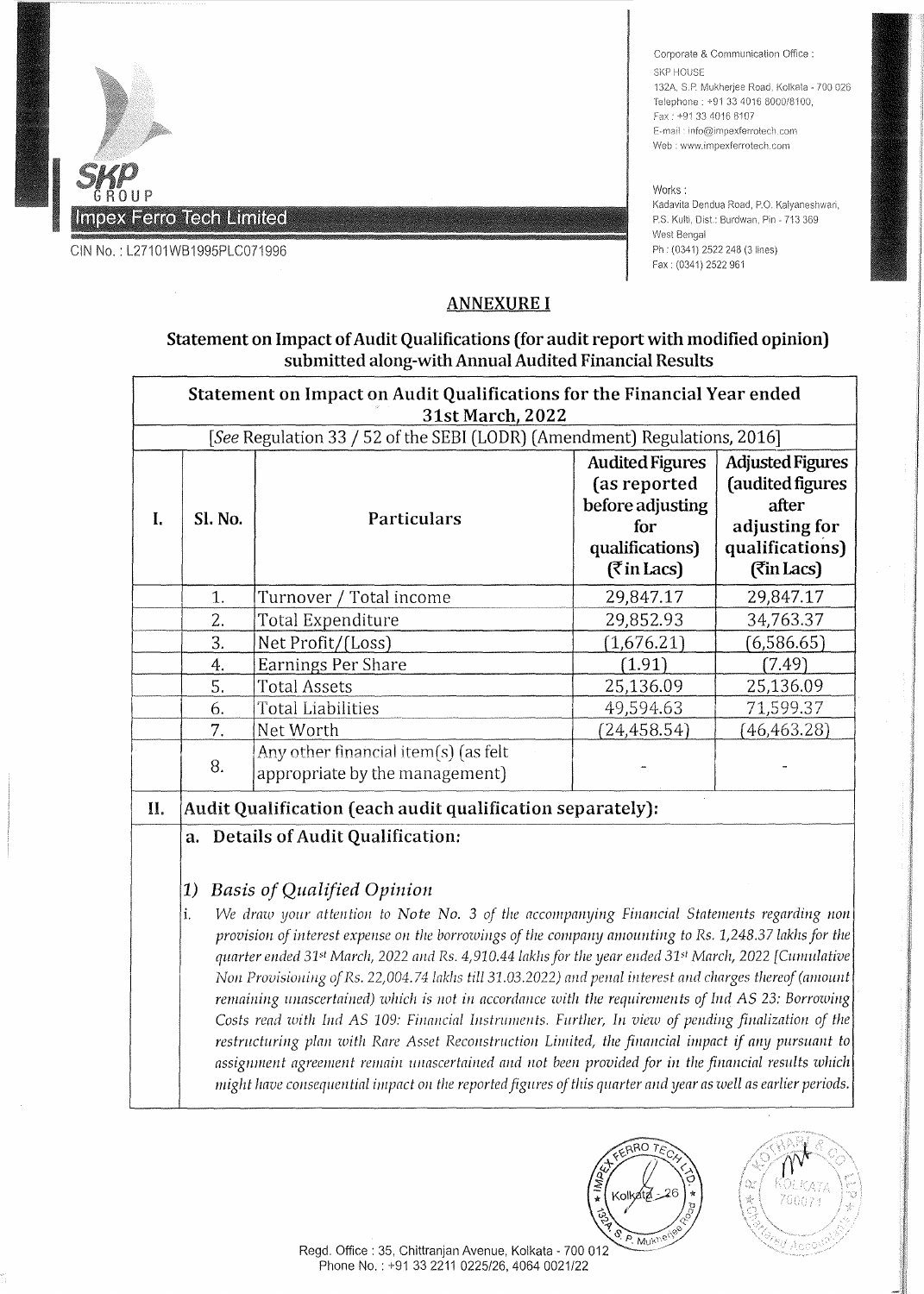

Corporate & Communication Office :  $S$ 132A, S.P. Mukherjee Road, Kolkata - 700 026 Telephone: +91 33 4016 8000/8100, Fax: +91 33 4016 8107 f: .. mnH info@2irnpexferrotech.corn Web : www.impexferrotech.com

Works:

Kadavita Dendua Road, P.O. Kalyaneshwari. P.S. Kulti. Dist.: Burdwan, Pin - 713 369 West Bengal Ph: (0341) 2522 248 (3 lines) Fax: (0341) 2522 961

## ANNEXURE I

## Statement on Impact of Audit Qualifications (for audit report with modified opinion) submitted along-with Annual Audited Financial Results

| Statement on Impact on Audit Qualifications for the Financial Year ended<br>31st March, 2022 |                                                                           |                                                                        |                                                                                                                    |                                                                                                                        |  |
|----------------------------------------------------------------------------------------------|---------------------------------------------------------------------------|------------------------------------------------------------------------|--------------------------------------------------------------------------------------------------------------------|------------------------------------------------------------------------------------------------------------------------|--|
|                                                                                              | [See Regulation 33 / 52 of the SEBI (LODR) (Amendment) Regulations, 2016] |                                                                        |                                                                                                                    |                                                                                                                        |  |
| I.                                                                                           | Sl. No.                                                                   | <b>Particulars</b>                                                     | <b>Audited Figures</b><br>(as reported<br>before adjusting<br>for<br>qualifications)<br>$(3\overline{5})$ in Lacs) | <b>Adjusted Figures</b><br>(audited figures<br>after<br>adjusting for<br>qualifications)<br>( <i><b>Tin Lacs</b></i> ) |  |
|                                                                                              | 1.                                                                        | Turnover / Total income                                                | 29,847.17                                                                                                          | 29,847.17                                                                                                              |  |
|                                                                                              | 2.                                                                        | Total Expenditure                                                      | 29,852.93                                                                                                          | 34,763.37                                                                                                              |  |
|                                                                                              | 3.                                                                        | Net Profit/(Loss)                                                      | (1,676.21)                                                                                                         | (6,586.65)                                                                                                             |  |
|                                                                                              | 4.                                                                        | <b>Earnings Per Share</b>                                              | (1.91)                                                                                                             | (7.49)                                                                                                                 |  |
|                                                                                              | 5.                                                                        | <b>Total Assets</b>                                                    | 25,136.09                                                                                                          | 25,136.09                                                                                                              |  |
|                                                                                              | 6.                                                                        | <b>Total Liabilities</b>                                               | 49,594.63                                                                                                          | 71,599.37                                                                                                              |  |
|                                                                                              | 7.                                                                        | Net Worth                                                              | (24, 458.54)                                                                                                       | (46, 463.28)                                                                                                           |  |
|                                                                                              | 8.                                                                        | Any other financial item(s) (as felt<br>appropriate by the management) |                                                                                                                    |                                                                                                                        |  |
| $\mathbf{I}$                                                                                 | Audit Qualification (each audit qualification separately):                |                                                                        |                                                                                                                    |                                                                                                                        |  |

## a. Details of Audit Qualification:

## *1) Basis of Qualified Opinion*

i. *vVe draw your attention to Note No.* 3 *of the accompanying Financial Statements regarding non provision of interest expense on the borrowings of the company amounting to Rs. 1,248.37 lakhs for the quarter ended 3151 March,* 2022 *and Rs. 4,910.44 lakhs for the year ended* 31 <sup>51</sup>*March,* 2022 *[Cumulative Non Provisioning of Rs. 22,004.74 lakhs till 31.03.2022) and penal interest and charges thereof (amount remaining unascertained) which is not in accordance with the requirements of Ind AS 23: Borrowing*  Costs read with Ind AS 109: Financial Instruments. Further, In view of pending finalization of the *restructuring plan with Rare Asset Reconstruction Limited, the financial impact if any pursuant to assignment agreement remain unascertained and not been provided for in the financial results which might have consequential impact on tile reported figures of this quarter and year as well as earlier periods.* 



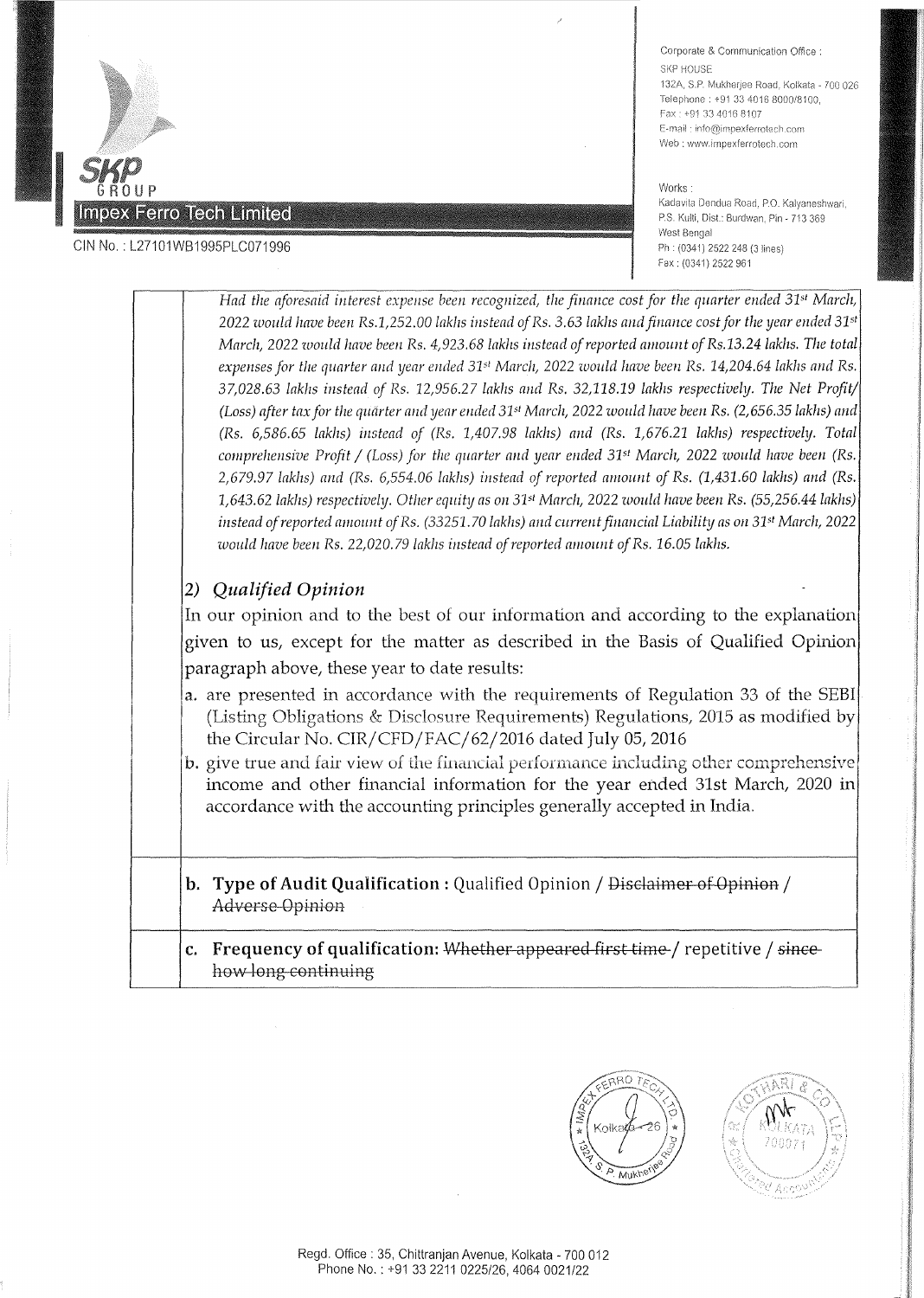

Corporate & Communication Office . SKP HOUSE 132A, S.P. Mukherjee Road, Kolkata - 700 026 Telephone. +91 33 4016 800018100, +91 33 4016 8107 E-mail : info@impexferrotech.com Web: www.impexferrotech.com

Works:

 $\overline{\phantom{a}}$ 

Kadavita Dendua Road, P.O. Kalyaneshwari. P.S. Kulti, Dist.: Burdwan, Pin - 713 369 West Bengal Ph: (0341) 2522 248 (31ines) Fax . (0341) 2522 961

|    | Had the aforesaid interest expense been recognized, the finance cost for the quarter ended 31 <sup>st</sup> March,                                                                                                  |
|----|---------------------------------------------------------------------------------------------------------------------------------------------------------------------------------------------------------------------|
|    | 2022 would have been Rs.1,252.00 lakhs instead of Rs. 3.63 lakhs and finance cost for the year ended 31st                                                                                                           |
|    | March, 2022 would have been Rs. 4,923.68 lakhs instead of reported amount of Rs.13.24 lakhs. The total                                                                                                              |
|    | expenses for the quarter and year ended 31 <sup>st</sup> March, 2022 would have been Rs. 14,204.64 lakhs and Rs.                                                                                                    |
|    | 37,028.63 lakhs instead of Rs. 12,956.27 lakhs and Rs. 32,118.19 lakhs respectively. The Net Profit/                                                                                                                |
|    | (Loss) after tax for the quarter and year ended 31 <sup>st</sup> March, 2022 would have been Rs. (2,656.35 lakhs) and                                                                                               |
|    | (Rs. 6,586.65 lakhs) instead of (Rs. 1,407.98 lakhs) and (Rs. 1,676.21 lakhs) respectively. Total<br>comprehensive Profit / (Loss) for the quarter and year ended 31 <sup>st</sup> March, 2022 would have been (Rs. |
|    | 2,679.97 lakhs) and (Rs. 6,554.06 lakhs) instead of reported amount of Rs. (1,431.60 lakhs) and (Rs.                                                                                                                |
|    | 1,643.62 lakhs) respectively. Other equity as on 31 <sup>st</sup> March, 2022 would have been Rs. (55,256.44 lakhs)                                                                                                 |
|    | instead of reported amount of Rs. (33251.70 lakhs) and current financial Liability as on 31st March, 2022                                                                                                           |
|    | would have been Rs. 22,020.79 lakhs instead of reported amount of Rs. 16.05 lakhs.                                                                                                                                  |
|    |                                                                                                                                                                                                                     |
|    | 2) Qualified Opinion                                                                                                                                                                                                |
|    | In our opinion and to the best of our information and according to the explanation                                                                                                                                  |
|    | given to us, except for the matter as described in the Basis of Qualified Opinion                                                                                                                                   |
|    | paragraph above, these year to date results:                                                                                                                                                                        |
|    |                                                                                                                                                                                                                     |
|    | a. are presented in accordance with the requirements of Regulation 33 of the SEBI                                                                                                                                   |
|    | (Listing Obligations & Disclosure Requirements) Regulations, 2015 as modified by                                                                                                                                    |
|    | the Circular No. CIR/CFD/FAC/62/2016 dated July 05, 2016                                                                                                                                                            |
|    | b. give true and fair view of the financial performance including other comprehensive                                                                                                                               |
|    | income and other financial information for the year ended 31st March, 2020 in                                                                                                                                       |
|    | accordance with the accounting principles generally accepted in India.                                                                                                                                              |
|    |                                                                                                                                                                                                                     |
|    |                                                                                                                                                                                                                     |
|    | b. Type of Audit Qualification : Qualified Opinion / Disclaimer of Opinion /<br>Adverse Opinion                                                                                                                     |
|    |                                                                                                                                                                                                                     |
| C, | Frequency of qualification: Whether appeared first time-/ repetitive / since-                                                                                                                                       |
|    | how long continuing                                                                                                                                                                                                 |
|    |                                                                                                                                                                                                                     |





 $\sim$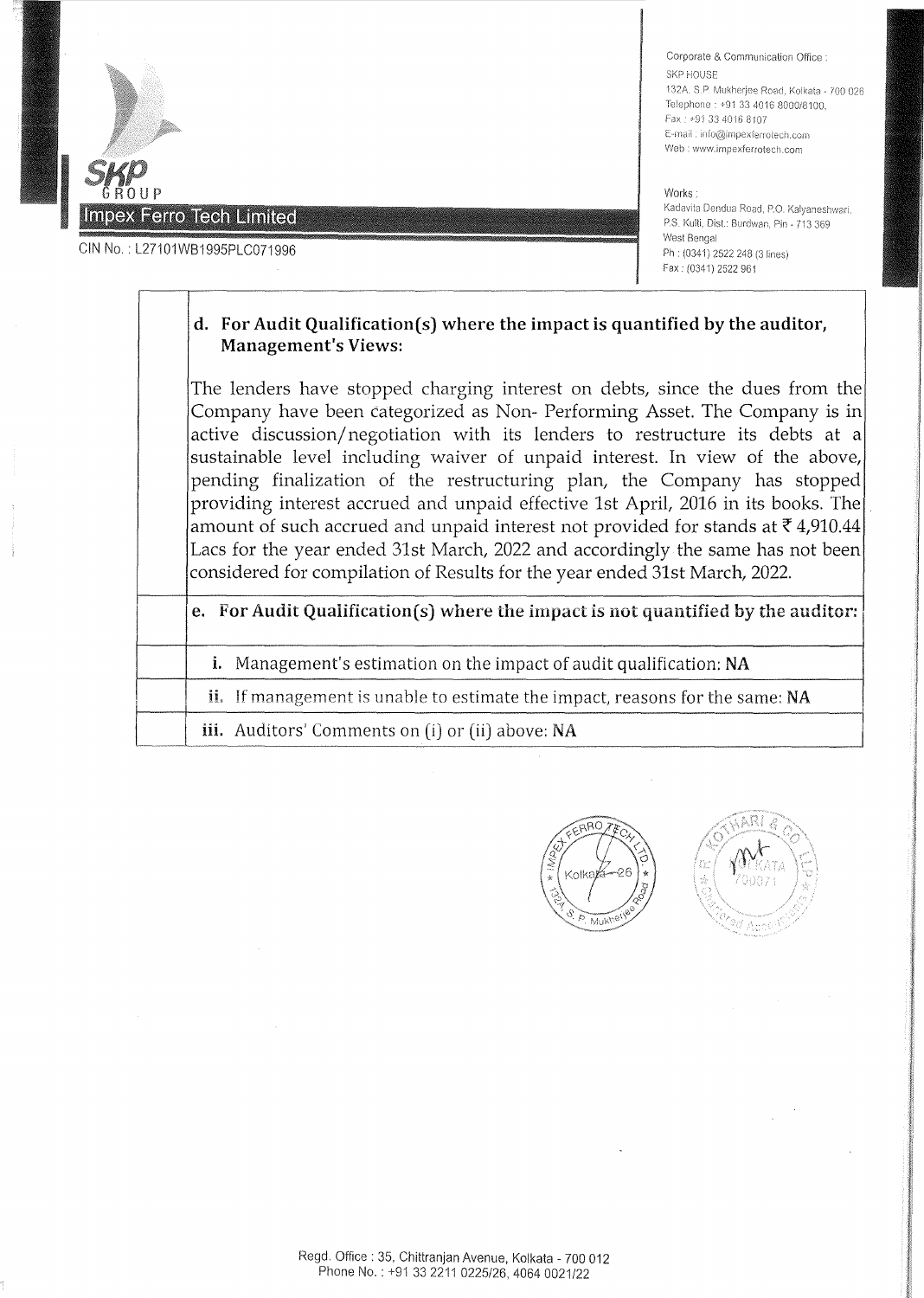

Corporate & Communication Office : SKP HOUSE 132A, S.P. Mukherjee Road, Kolkata - 700 026 Telephone: +91 33 4016 8000/8100, Fax: +91 33 4016 8107<br>E-mail: info@impexferrotech.com Web : www.impexferrotech.com

Works:

Kadavita Dendua Road. P.O. Ka!yaneshwari. P.S. Kulti, Dist.: Burdwan, Pin - 713 369 West Bengal Ph (0341) 2522 248 (3 lines) Fax. (0341) 2522 961

# d. For Audit Qualification(s) where the impact is quantified by the auditor, Management's Views:

The lenders have stopped charging interest on debts, since the dues from the Company have been categorized as Non- Performing Asset. The Company is in active discussion/negotiation with its lenders to restructure its debts at a sustainable level including waiver of unpaid interest. In view of the above, pending finalization of the restructuring plan, the Company has stopped providing interest accrued and unpaid effective 1st April, 2016 in its books. The amount of such accrued and unpaid interest not provided for stands at  $\bar{\tau}$  4,910.44 Lacs for the year ended 31st March, 2022 and accordingly the same has not been considered for compilation of Results for the year ended 31st March, 2022.

e. For Audit Qualification(s) where the impact is not quantified by the auditor:

i. Management's estimation on the impact of audit qualification: NA

ii. If management is unable to estimate the impact, reasons for the same:  $\textsf{NA}$ 

iii. Auditors' Comments on (i) or (ii) above: NA